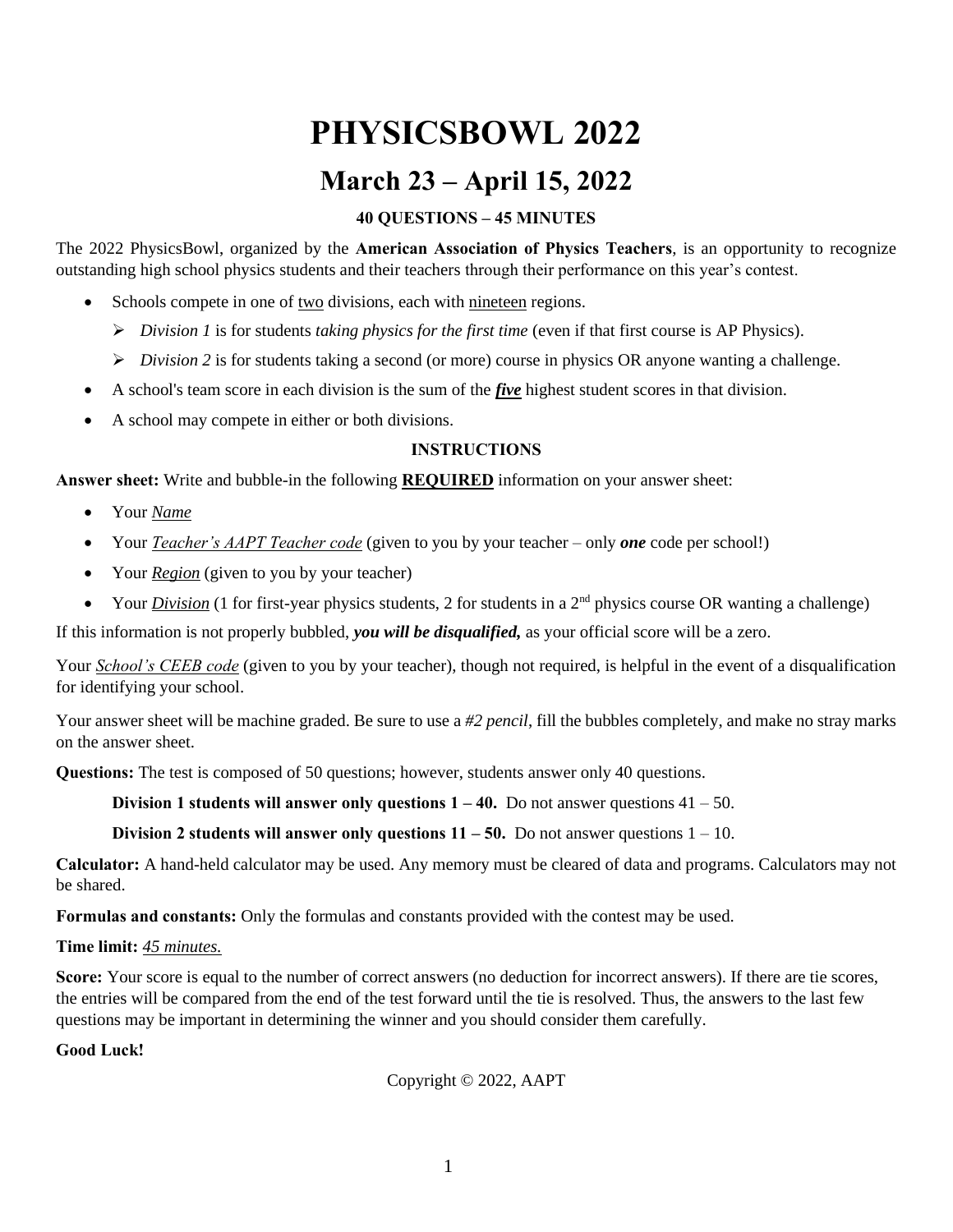# **PHYSICSBOWL 2022**

## **March 23 – April 15, 2022**

#### **40 QUESTIONS – 45 MINUTES**

The 2022 PhysicsBowl, organized by the **American Association of Physics Teachers**, is an opportunity to recognize outstanding high school physics students and their teachers through their performance on this year's contest.

- Schools compete in one of two divisions, each with nineteen regions.
	- ➢ *Division 1* is for students *taking physics for the first time* (even if that first course is AP Physics).
	- ➢ *Division 2* is for students taking a second (or more) course in physics OR anyone wanting a challenge.
- A school's team score in each division is the sum of the *five* highest student scores in that division.
- A school may compete in either or both divisions.

#### **INSTRUCTIONS**

**Answer sheet:** Write and bubble-in the following **REQUIRED** information on your answer sheet:

- Your *Name*
- Your *Teacher's AAPT Teacher code* (given to you by your teacher only *one* code per school!)
- Your *Region* (given to you by your teacher)
- Your *Division* (1 for first-year physics students, 2 for students in a  $2<sup>nd</sup>$  physics course OR wanting a challenge)

If this information is not properly bubbled, *you will be disqualified,* as your official score will be a zero.

Your *School's CEEB code* (given to you by your teacher), though not required, is helpful in the event of a disqualification for identifying your school.

Your answer sheet will be machine graded. Be sure to use a *#2 pencil*, fill the bubbles completely, and make no stray marks on the answer sheet.

**Questions:** The test is composed of 50 questions; however, students answer only 40 questions.

**Division 1 students will answer only questions 1 – 40.** Do not answer questions 41 – 50.

**Division 2 students will answer only questions 11 – 50.** Do not answer questions 1 – 10.

**Calculator:** A hand-held calculator may be used. Any memory must be cleared of data and programs. Calculators may not be shared.

**Formulas and constants:** Only the formulas and constants provided with the contest may be used.

#### **Time limit:** *45 minutes.*

**Score:** Your score is equal to the number of correct answers (no deduction for incorrect answers). If there are tie scores, the entries will be compared from the end of the test forward until the tie is resolved. Thus, the answers to the last few questions may be important in determining the winner and you should consider them carefully.

#### **Good Luck!**

Copyright © 2022, AAPT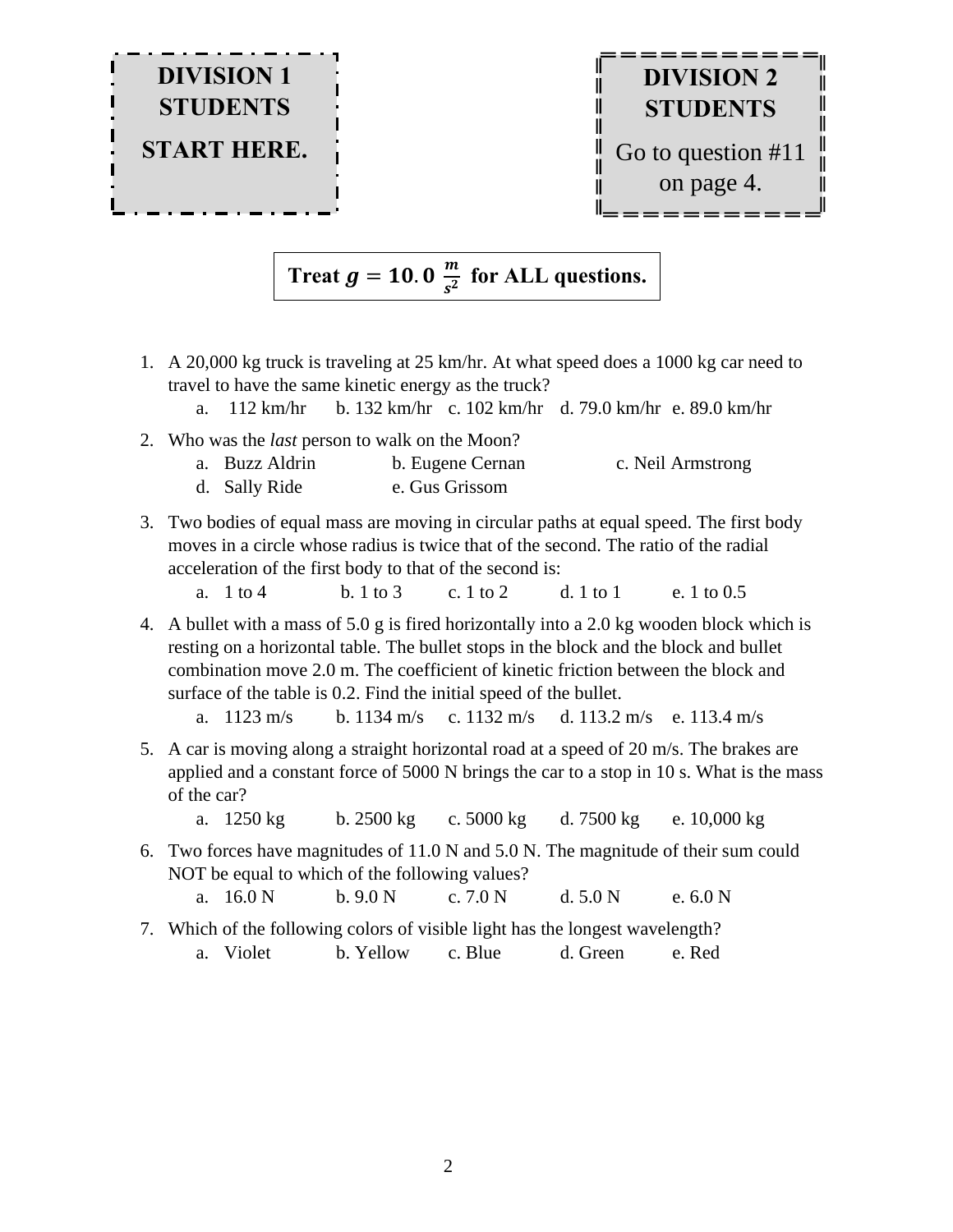

#### **Treat**  $g = 10.0 \frac{m}{c^2}$  $\frac{m}{s^2}$  for ALL questions.

- 1. A 20,000 kg truck is traveling at 25 km/hr. At what speed does a 1000 kg car need to travel to have the same kinetic energy as the truck?
	- a. 112 km/hr b. 132 km/hr c. 102 km/hr d. 79.0 km/hr e. 89.0 km/hr
- 2. Who was the *last* person to walk on the Moon?

|  | a. Buzz Aldrin | b. Eugene Cernan | c. Neil Armstrong |
|--|----------------|------------------|-------------------|
|--|----------------|------------------|-------------------|

- d. Sally Ride e. Gus Grissom
- 3. Two bodies of equal mass are moving in circular paths at equal speed. The first body moves in a circle whose radius is twice that of the second. The ratio of the radial acceleration of the first body to that of the second is:
	- a. 1 to 4 b. 1 to 3 c. 1 to 2 d. 1 to 1 e. 1 to 0.5
- 4. A bullet with a mass of 5.0 g is fired horizontally into a 2.0 kg wooden block which is resting on a horizontal table. The bullet stops in the block and the block and bullet combination move 2.0 m. The coefficient of kinetic friction between the block and surface of the table is 0.2. Find the initial speed of the bullet.

a. 1123 m/s b. 1134 m/s c. 1132 m/s d. 113.2 m/s e. 113.4 m/s

- 5. A car is moving along a straight horizontal road at a speed of 20 m/s. The brakes are applied and a constant force of 5000 N brings the car to a stop in 10 s. What is the mass of the car?
	- a. 1250 kg b. 2500 kg c. 5000 kg d. 7500 kg e. 10,000 kg
- 6. Two forces have magnitudes of 11.0 N and 5.0 N. The magnitude of their sum could NOT be equal to which of the following values?
	- a. 16.0 N b. 9.0 N c. 7.0 N d. 5.0 N e. 6.0 N
- 7. Which of the following colors of visible light has the longest wavelength? a. Violet b. Yellow c. Blue d. Green e. Red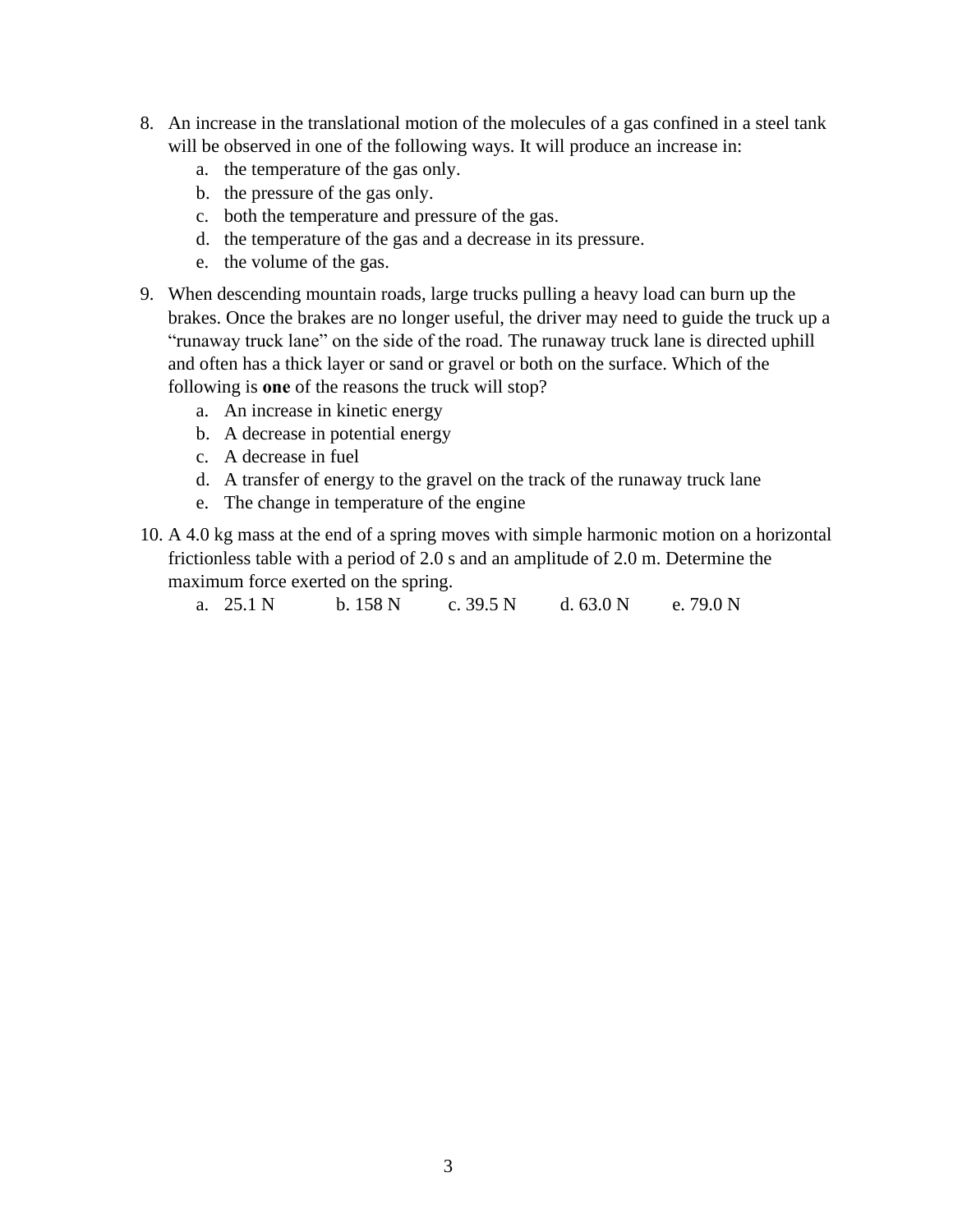- 8. An increase in the translational motion of the molecules of a gas confined in a steel tank will be observed in one of the following ways. It will produce an increase in:
	- a. the temperature of the gas only.
	- b. the pressure of the gas only.
	- c. both the temperature and pressure of the gas.
	- d. the temperature of the gas and a decrease in its pressure.
	- e. the volume of the gas.
- 9. When descending mountain roads, large trucks pulling a heavy load can burn up the brakes. Once the brakes are no longer useful, the driver may need to guide the truck up a "runaway truck lane" on the side of the road. The runaway truck lane is directed uphill and often has a thick layer or sand or gravel or both on the surface. Which of the following is **one** of the reasons the truck will stop?
	- a. An increase in kinetic energy
	- b. A decrease in potential energy
	- c. A decrease in fuel
	- d. A transfer of energy to the gravel on the track of the runaway truck lane
	- e. The change in temperature of the engine
- 10. A 4.0 kg mass at the end of a spring moves with simple harmonic motion on a horizontal frictionless table with a period of 2.0 s and an amplitude of 2.0 m. Determine the maximum force exerted on the spring.

a. 25.1 N b. 158 N c. 39.5 N d. 63.0 N e. 79.0 N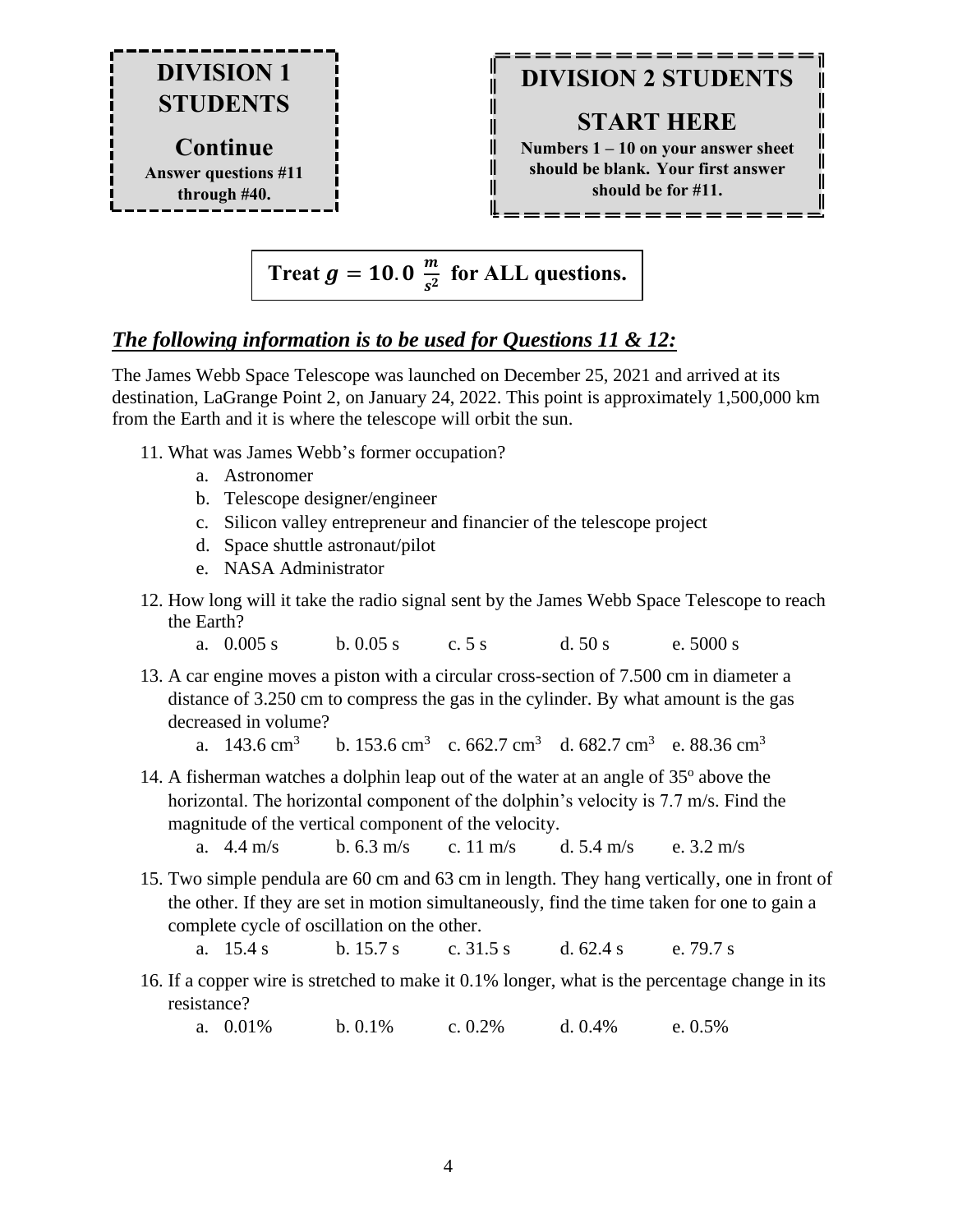

## **DIVISION 2 STUDENTS**

II

II

II

II

II

### **START HERE**

**Numbers 1 – 10 on your answer sheet should be blank. Your first answer should be for #11.**

\_\_\_\_\_\_\_\_\_

$$
Treat g = 10.0 \frac{m}{s^2} for ALL questions.
$$

IĪ

II

IĪ IÏ

IĪ

I IL

### *The following information is to be used for Questions 11 & 12:*

The James Webb Space Telescope was launched on December 25, 2021 and arrived at its destination, LaGrange Point 2, on January 24, 2022. This point is approximately 1,500,000 km from the Earth and it is where the telescope will orbit the sun.

- 11. What was James Webb's former occupation?
	- a. Astronomer
	- b. Telescope designer/engineer
	- c. Silicon valley entrepreneur and financier of the telescope project
	- d. Space shuttle astronaut/pilot
	- e. NASA Administrator
- 12. How long will it take the radio signal sent by the James Webb Space Telescope to reach the Earth?
	- a. 0.005 s b. 0.05 s c. 5 s d. 50 s e. 5000 s
- 13. A car engine moves a piston with a circular cross-section of 7.500 cm in diameter a distance of 3.250 cm to compress the gas in the cylinder. By what amount is the gas decreased in volume?
	- a.  $143.6 \text{ cm}^3$ b. 153.6 cm<sup>3</sup> c. 662.7 cm<sup>3</sup> d. 682.7 cm<sup>3</sup> e. 88.36 cm<sup>3</sup>
- 14. A fisherman watches a dolphin leap out of the water at an angle of  $35^{\circ}$  above the horizontal. The horizontal component of the dolphin's velocity is 7.7 m/s. Find the magnitude of the vertical component of the velocity.
	- a.  $4.4 \text{ m/s}$  b.  $6.3 \text{ m/s}$  c.  $11 \text{ m/s}$  d.  $5.4 \text{ m/s}$  e.  $3.2 \text{ m/s}$
- 15. Two simple pendula are 60 cm and 63 cm in length. They hang vertically, one in front of the other. If they are set in motion simultaneously, find the time taken for one to gain a complete cycle of oscillation on the other.

a. 15.4 s b. 15.7 s c. 31.5 s d. 62.4 s e. 79.7 s

- 16. If a copper wire is stretched to make it 0.1% longer, what is the percentage change in its resistance?
	- a. 0.01% b. 0.1% c. 0.2% d. 0.4% e. 0.5%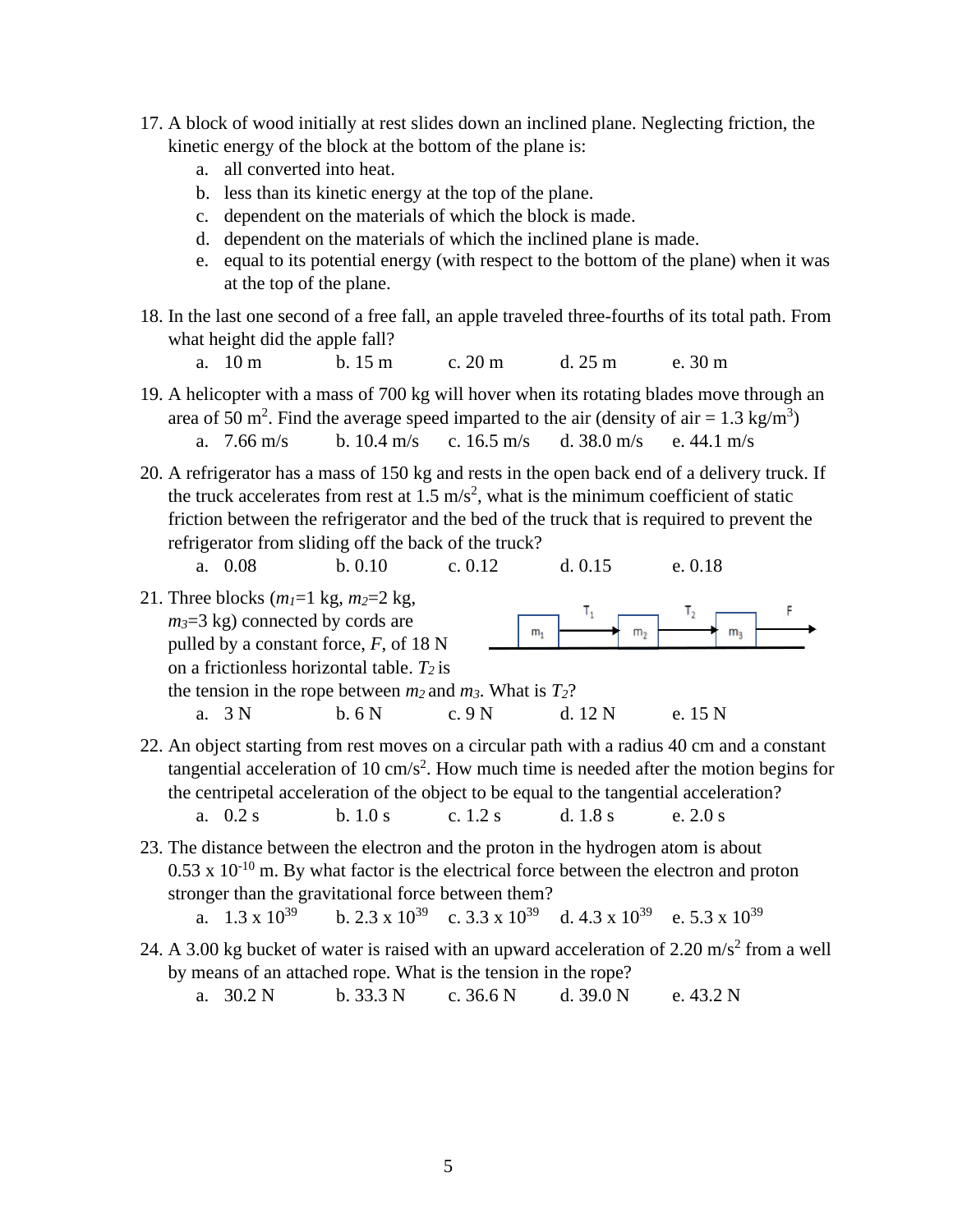- 17. A block of wood initially at rest slides down an inclined plane. Neglecting friction, the kinetic energy of the block at the bottom of the plane is:
	- a. all converted into heat.
	- b. less than its kinetic energy at the top of the plane.
	- c. dependent on the materials of which the block is made.
	- d. dependent on the materials of which the inclined plane is made.
	- e. equal to its potential energy (with respect to the bottom of the plane) when it was at the top of the plane.
- 18. In the last one second of a free fall, an apple traveled three-fourths of its total path. From what height did the apple fall?
	- a. 10 m b. 15 m c. 20 m d. 25 m e. 30 m

19. A helicopter with a mass of 700 kg will hover when its rotating blades move through an area of 50 m<sup>2</sup>. Find the average speed imparted to the air (density of air = 1.3 kg/m<sup>3</sup>) a. 7.66 m/s b. 10.4 m/s c. 16.5 m/s d. 38.0 m/s e. 44.1 m/s

20. A refrigerator has a mass of 150 kg and rests in the open back end of a delivery truck. If the truck accelerates from rest at  $1.5 \text{ m/s}^2$ , what is the minimum coefficient of static friction between the refrigerator and the bed of the truck that is required to prevent the refrigerator from sliding off the back of the truck?

a. 0.08 b. 0.10 c. 0.12 d. 0.15 e. 0.18

- 21. Three blocks  $(m_l=1 \text{ kg}, m_2=2 \text{ kg})$ , т,  $T<sub>2</sub>$ *m3*=3 kg) connected by cords are  $m<sub>1</sub>$  $m<sub>2</sub>$  $m<sub>3</sub>$ pulled by a constant force, *F*, of 18 N on a frictionless horizontal table. *T<sup>2</sup>* is the tension in the rope between  $m_2$  and  $m_3$ . What is  $T_2$ ? a. 3 N b. 6 N c. 9 N d. 12 N e. 15 N
- 22. An object starting from rest moves on a circular path with a radius 40 cm and a constant tangential acceleration of 10  $\text{cm/s}^2$ . How much time is needed after the motion begins for the centripetal acceleration of the object to be equal to the tangential acceleration? a. 0.2 s b. 1.0 s c. 1.2 s d. 1.8 s e. 2.0 s
- 23. The distance between the electron and the proton in the hydrogen atom is about  $0.53 \times 10^{-10}$  m. By what factor is the electrical force between the electron and proton stronger than the gravitational force between them?

a.  $1.3 \times 10^{39}$  b.  $2.3 \times 10^{39}$  c.  $3.3 \times 10^{39}$  d.  $4.3 \times 10^{39}$  e.  $5.3 \times 10^{39}$ 

24. A 3.00 kg bucket of water is raised with an upward acceleration of 2.20  $\text{m/s}^2$  from a well by means of an attached rope. What is the tension in the rope?

a. 30.2 N b. 33.3 N c. 36.6 N d. 39.0 N e. 43.2 N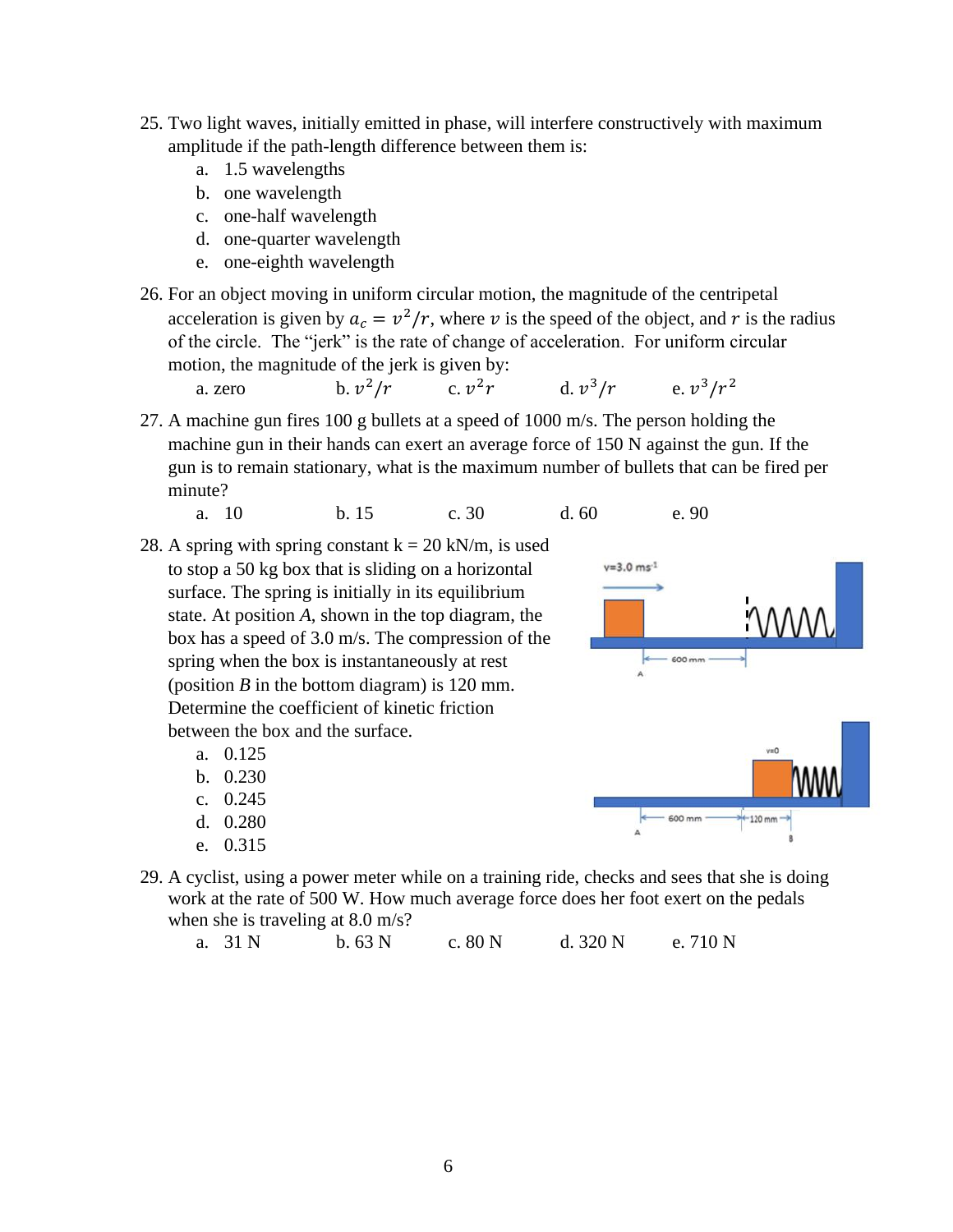- 25. Two light waves, initially emitted in phase, will interfere constructively with maximum amplitude if the path-length difference between them is:
	- a. 1.5 wavelengths
	- b. one wavelength
	- c. one-half wavelength
	- d. one-quarter wavelength
	- e. one-eighth wavelength
- 26. For an object moving in uniform circular motion, the magnitude of the centripetal acceleration is given by  $a_c = v^2/r$ , where v is the speed of the object, and r is the radius of the circle. The "jerk" is the rate of change of acceleration. For uniform circular motion, the magnitude of the jerk is given by:

a. zero b. b.  $v^2/r$  $/r$  c.  $v^2$ r d.  $v^3$  $/r$  e.  $v^3/r^2$ 

27. A machine gun fires 100 g bullets at a speed of 1000 m/s. The person holding the machine gun in their hands can exert an average force of 150 N against the gun. If the gun is to remain stationary, what is the maximum number of bullets that can be fired per minute?

a. 10 b. 15 c. 30 d. 60 e. 90

- 28. A spring with spring constant  $k = 20$  kN/m, is used to stop a 50 kg box that is sliding on a horizontal surface. The spring is initially in its equilibrium state. At position *A*, shown in the top diagram, the box has a speed of 3.0 m/s. The compression of the spring when the box is instantaneously at rest (position  $B$  in the bottom diagram) is 120 mm. Determine the coefficient of kinetic friction between the box and the surface.
	- a. 0.125
	- b. 0.230
	- c. 0.245
	- d. 0.280
	- e. 0.315
- $v = 3.0$  ms<sup>-1</sup> 600 mm 600 mm  $+120$  mm
- 29. A cyclist, using a power meter while on a training ride, checks and sees that she is doing work at the rate of 500 W. How much average force does her foot exert on the pedals when she is traveling at 8.0 m/s?

a. 31 N b. 63 N c. 80 N d. 320 N e. 710 N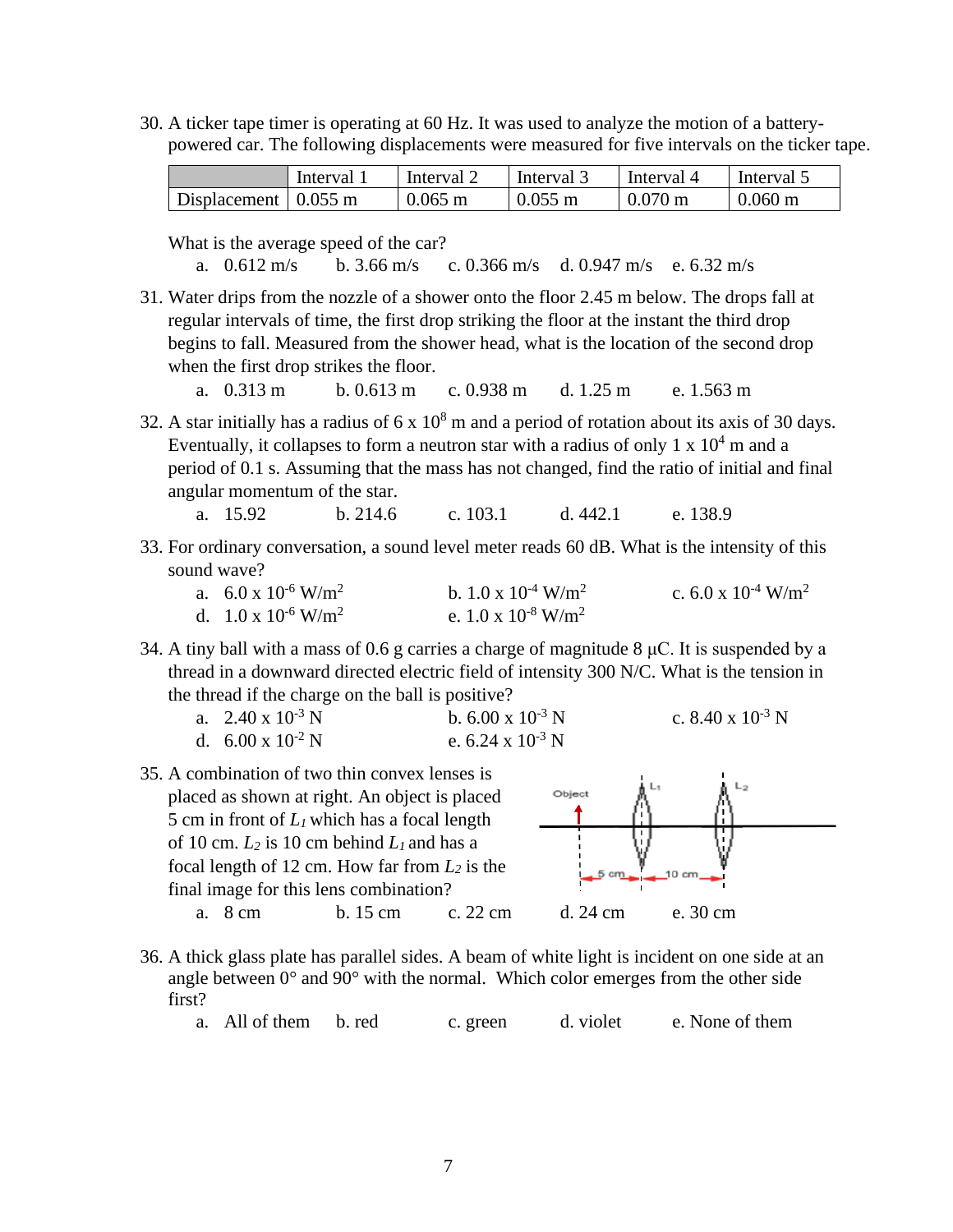30. A ticker tape timer is operating at 60 Hz. It was used to analyze the motion of a batterypowered car. The following displacements were measured for five intervals on the ticker tape.

|                              | Interval | Interval 2 | Interval 3        | Interval 4        | Interval 5        |
|------------------------------|----------|------------|-------------------|-------------------|-------------------|
| Displacement $\vert$ 0.055 m |          | $0.065$ m  | $0.055 \text{ m}$ | $0.070 \text{ m}$ | $0.060 \text{ m}$ |

What is the average speed of the car?

a. 0.612 m/s b. 3.66 m/s c. 0.366 m/s d. 0.947 m/s e. 6.32 m/s

31. Water drips from the nozzle of a shower onto the floor 2.45 m below. The drops fall at regular intervals of time, the first drop striking the floor at the instant the third drop begins to fall. Measured from the shower head, what is the location of the second drop when the first drop strikes the floor.

a. 0.313 m b. 0.613 m c. 0.938 m d. 1.25 m e. 1.563 m

- 32. A star initially has a radius of  $6 \times 10^8$  m and a period of rotation about its axis of 30 days. Eventually, it collapses to form a neutron star with a radius of only 1 x  $10<sup>4</sup>$  m and a period of 0.1 s. Assuming that the mass has not changed, find the ratio of initial and final angular momentum of the star.
	- a. 15.92 b. 214.6 c. 103.1 d. 442.1 e. 138.9
- 33. For ordinary conversation, a sound level meter reads 60 dB. What is the intensity of this sound wave?

| a. $6.0 \times 10^{-6}$ W/m <sup>2</sup> | b. $1.0 \times 10^{-4}$ W/m <sup>2</sup> | c. 6.0 x $10^{-4}$ W/m <sup>2</sup> |
|------------------------------------------|------------------------------------------|-------------------------------------|
| d. $1.0 \times 10^{-6}$ W/m <sup>2</sup> | e. $1.0 \times 10^{-8}$ W/m <sup>2</sup> |                                     |

34. A tiny ball with a mass of 0.6 g carries a charge of magnitude 8 μC. It is suspended by a thread in a downward directed electric field of intensity 300 N/C. What is the tension in the thread if the charge on the ball is positive?

| a. $2.40 \times 10^{-3}$ N | b. $6.00 \times 10^{-3}$ N | c. 8.40 x $10^{-3}$ N |
|----------------------------|----------------------------|-----------------------|
| d. $6.00 \times 10^{-2}$ N | e. $6.24 \times 10^{-3}$ N |                       |

35. A combination of two thin convex lenses is placed as shown at right. An object is placed 5 cm in front of *L<sup>1</sup>* which has a focal length of 10 cm.  $L_2$  is 10 cm behind  $L_1$  and has a focal length of 12 cm. How far from *L<sup>2</sup>* is the final image for this lens combination?



- 36. A thick glass plate has parallel sides. A beam of white light is incident on one side at an angle between  $0^{\circ}$  and  $90^{\circ}$  with the normal. Which color emerges from the other side first?
	- a. All of them b. red c. green d. violet e. None of them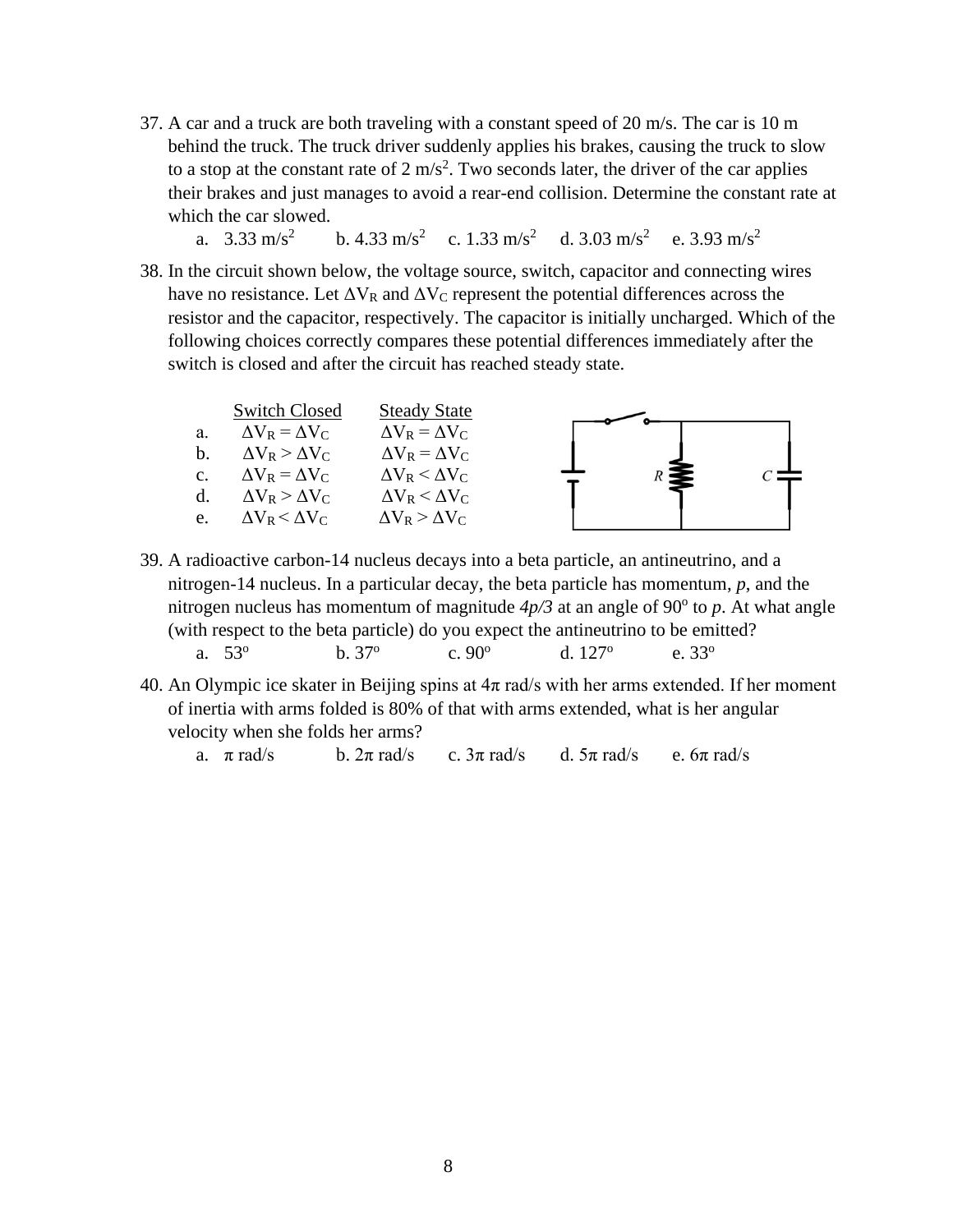- 37. A car and a truck are both traveling with a constant speed of 20 m/s. The car is 10 m behind the truck. The truck driver suddenly applies his brakes, causing the truck to slow to a stop at the constant rate of  $2 \text{ m/s}^2$ . Two seconds later, the driver of the car applies their brakes and just manages to avoid a rear-end collision. Determine the constant rate at which the car slowed.
	- a.  $3.33 \text{ m/s}^2$ b. 4.33 m/s<sup>2</sup> c. 1.33 m/s<sup>2</sup> d. 3.03 m/s<sup>2</sup> e. 3.93 m/s<sup>2</sup>
- 38. In the circuit shown below, the voltage source, switch, capacitor and connecting wires have no resistance. Let  $\Delta V_R$  and  $\Delta V_C$  represent the potential differences across the resistor and the capacitor, respectively. The capacitor is initially uncharged. Which of the following choices correctly compares these potential differences immediately after the switch is closed and after the circuit has reached steady state.



- 39. A radioactive carbon-14 nucleus decays into a beta particle, an antineutrino, and a nitrogen-14 nucleus. In a particular decay, the beta particle has momentum, *p*, and the nitrogen nucleus has momentum of magnitude  $4p/3$  at an angle of 90 $\degree$  to p. At what angle (with respect to the beta particle) do you expect the antineutrino to be emitted? a. 53<sup>o</sup>  $h. 37^{\circ}$ c.  $90^{\circ}$ d. 127<sup>o</sup> e. 33<sup>o</sup>
- 40. An Olympic ice skater in Beijing spins at  $4\pi$  rad/s with her arms extended. If her moment of inertia with arms folded is 80% of that with arms extended, what is her angular velocity when she folds her arms?

a.  $\pi$  rad/s b.  $2\pi$  rad/s c.  $3\pi$  rad/s d.  $5\pi$  rad/s e.  $6\pi$  rad/s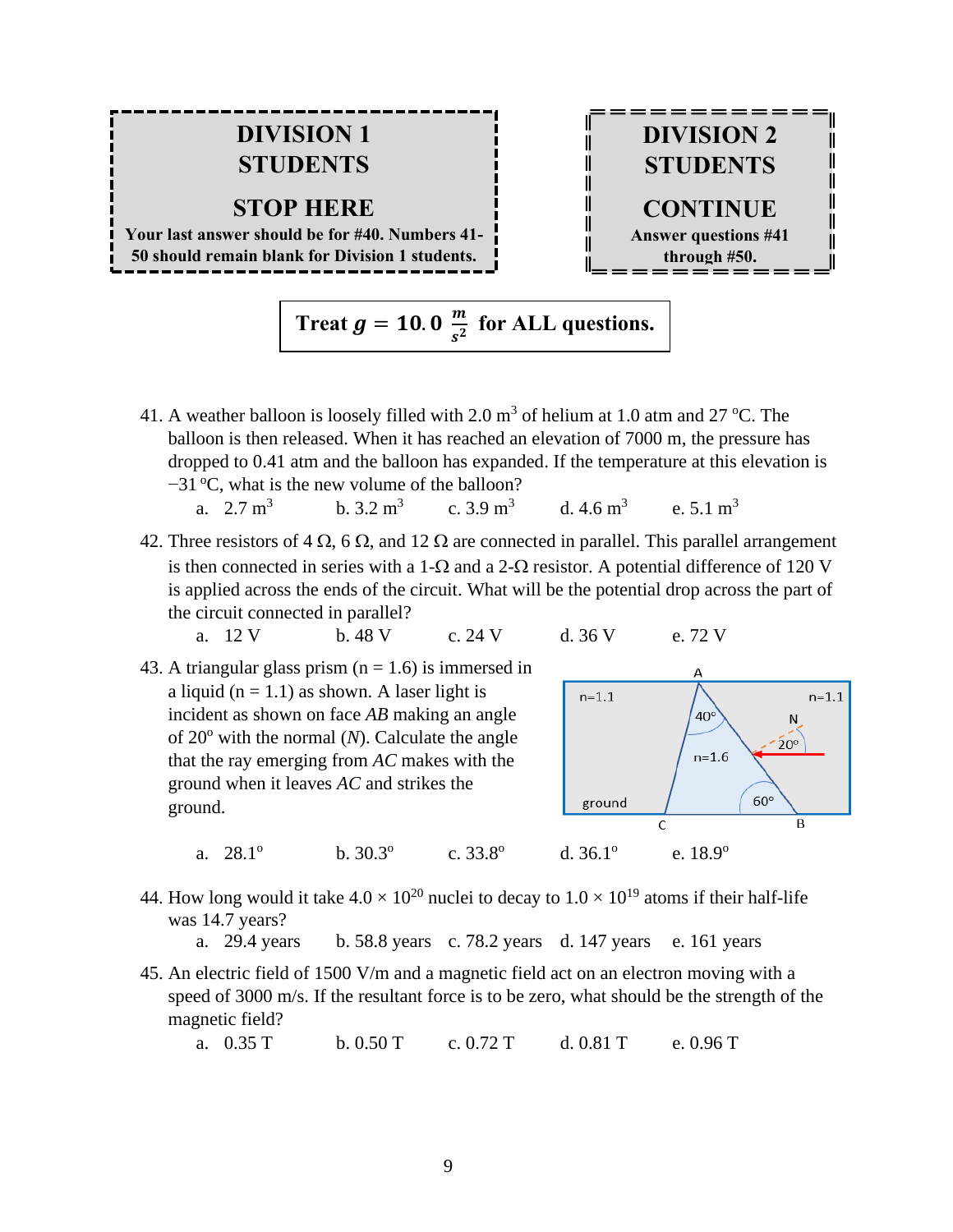### **DIVISION 1 STUDENTS**

#### **STOP HERE**

**Your last answer should be for #40. Numbers 41- 50 should remain blank for Division 1 students.**



**Treat**  $g = 10.0 \frac{m}{c^2}$  $\frac{m}{s^2}$  for ALL questions.

- 41. A weather balloon is loosely filled with 2.0  $m<sup>3</sup>$  of helium at 1.0 atm and 27 °C. The balloon is then released. When it has reached an elevation of 7000 m, the pressure has dropped to 0.41 atm and the balloon has expanded. If the temperature at this elevation is −31 °C, what is the new volume of the balloon?
	- a.  $2.7 \text{ m}^3$ b.  $3.2 \text{ m}^3$ c.  $3.9 \text{ m}^3$ d.  $4.6 \text{ m}^3$ e.  $5.1 \text{ m}^3$
- 42. Three resistors of 4  $\Omega$ , 6  $\Omega$ , and 12  $\Omega$  are connected in parallel. This parallel arrangement is then connected in series with a 1- $\Omega$  and a 2- $\Omega$  resistor. A potential difference of 120 V is applied across the ends of the circuit. What will be the potential drop across the part of the circuit connected in parallel?

a. 12 V b. 48 V c. 24 V d. 36 V e. 72 V

a.  $28.1^\circ$ 

- 
- 43. A triangular glass prism  $(n = 1.6)$  is immersed in a liquid ( $n = 1.1$ ) as shown. A laser light is incident as shown on face *AB* making an angle of  $20^{\circ}$  with the normal (*N*). Calculate the angle that the ray emerging from *AC* makes with the ground when it leaves *AC* and strikes the ground.

b.  $30.3^\circ$ 



44. How long would it take  $4.0 \times 10^{20}$  nuclei to decay to  $1.0 \times 10^{19}$  atoms if their half-life was 14.7 years?

c.  $33.8^\circ$ 

- a. 29.4 years b. 58.8 years c. 78.2 years d. 147 years e. 161 years
- 45. An electric field of 1500 V/m and a magnetic field act on an electron moving with a speed of 3000 m/s. If the resultant force is to be zero, what should be the strength of the magnetic field?

a. 0.35 T b. 0.50 T c. 0.72 T d. 0.81 T e. 0.96 T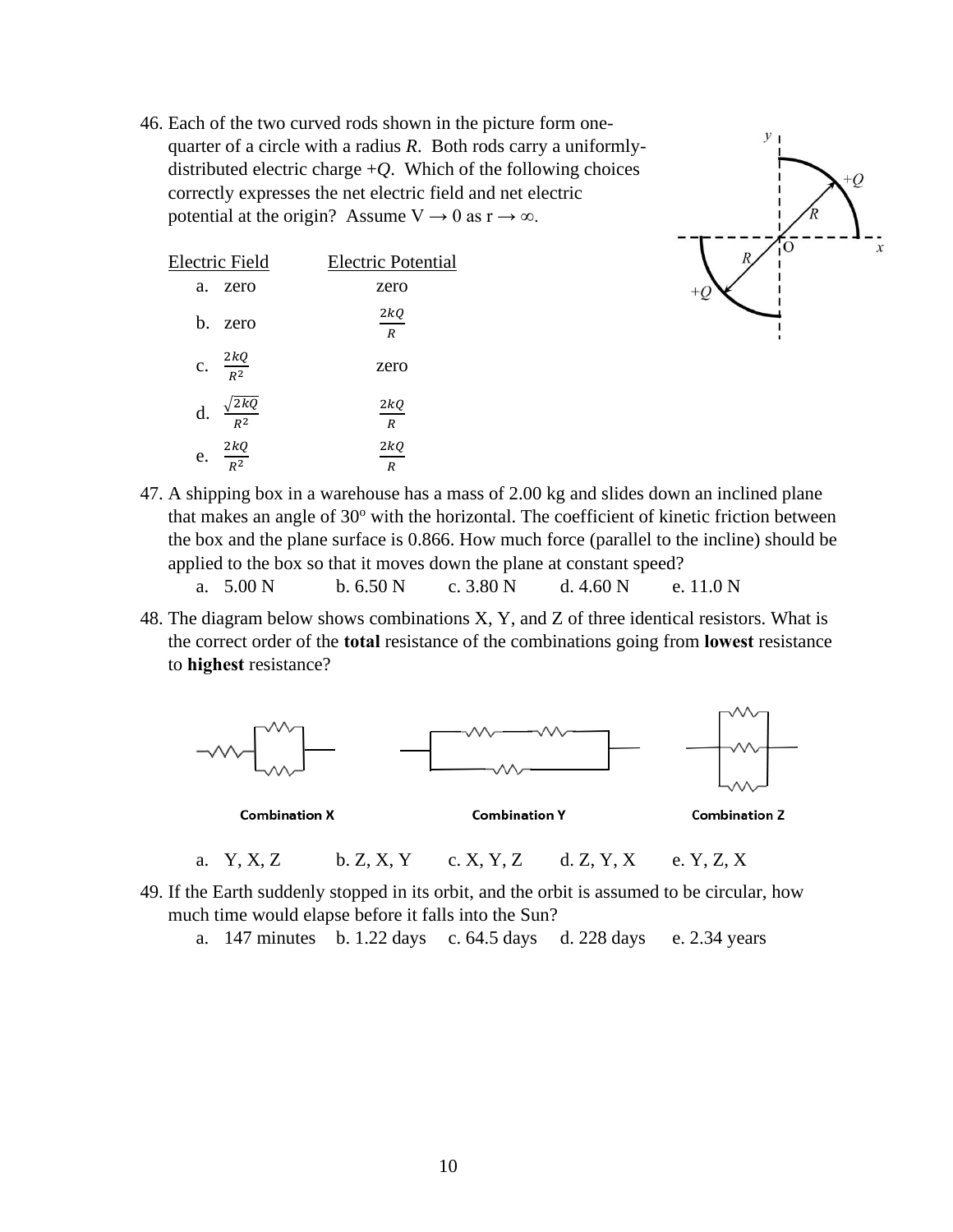46. Each of the two curved rods shown in the picture form onequarter of a circle with a radius *R*. Both rods carry a uniformlydistributed electric charge  $+Q$ . Which of the following choices correctly expresses the net electric field and net electric potential at the origin? Assume  $V \rightarrow 0$  as  $r \rightarrow \infty$ .

| Electric Field           | <b>Electric Potential</b> |
|--------------------------|---------------------------|
| zero<br>a.               | zero                      |
| h.                       | 2kQ                       |
| zero                     | $\overline{R}$            |
| c. $\frac{2kQ}{R^2}$     | zero                      |
| $\frac{\sqrt{2kQ}}{R^2}$ | 2kQ                       |
| d.                       | $\boldsymbol{R}$          |
| $\frac{2kQ}{R^2}$        | 2kQ                       |
| e.                       | R                         |



47. A shipping box in a warehouse has a mass of 2.00 kg and slides down an inclined plane that makes an angle of  $30^{\circ}$  with the horizontal. The coefficient of kinetic friction between the box and the plane surface is 0.866. How much force (parallel to the incline) should be applied to the box so that it moves down the plane at constant speed?

| a. $5.00 N$ | b. 6.50 N | c. $3.80 N$ | d. $4.60N$ | e. $11.0 N$ |
|-------------|-----------|-------------|------------|-------------|
|             |           |             |            |             |

48. The diagram below shows combinations X, Y, and Z of three identical resistors. What is the correct order of the **total** resistance of the combinations going from **lowest** resistance to **highest** resistance?



- 49. If the Earth suddenly stopped in its orbit, and the orbit is assumed to be circular, how much time would elapse before it falls into the Sun?
	- a. 147 minutes b. 1.22 days c. 64.5 days d. 228 days e. 2.34 years